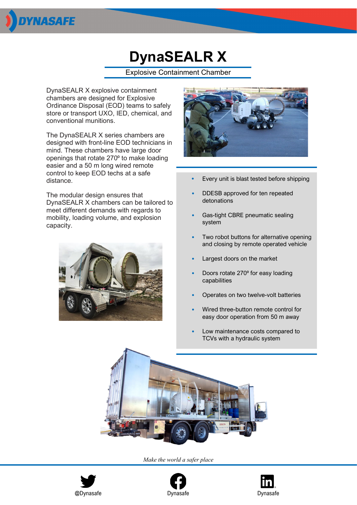

## **DynaSEALR X**

Explosive Containment Chamber

DynaSEALR X explosive containment chambers are designed for Explosive Ordinance Disposal (EOD) teams to safely store or transport UXO, IED, chemical, and conventional munitions.

The DynaSEALR X series chambers are designed with front-line EOD technicians in mind. These chambers have large door openings that rotate 270⁰ to make loading easier and a 50 m long wired remote control to keep EOD techs at a safe distance.

The modular design ensures that DynaSEALR X chambers can be tailored to meet different demands with regards to mobility, loading volume, and explosion capacity.





- *•* Every unit is blast tested before shipping
- DDESB approved for ten repeated detonations
- Gas-tight CBRE pneumatic sealing system
- Two robot buttons for alternative opening and closing by remote operated vehicle
- Largest doors on the market
- Doors rotate 270⁰ for easy loading capabilities
- Operates on two twelve-volt batteries
- Wired three-button remote control for easy door operation from 50 m away
- Low maintenance costs compared to TCVs with a hydraulic system



*Make the world a safer place*